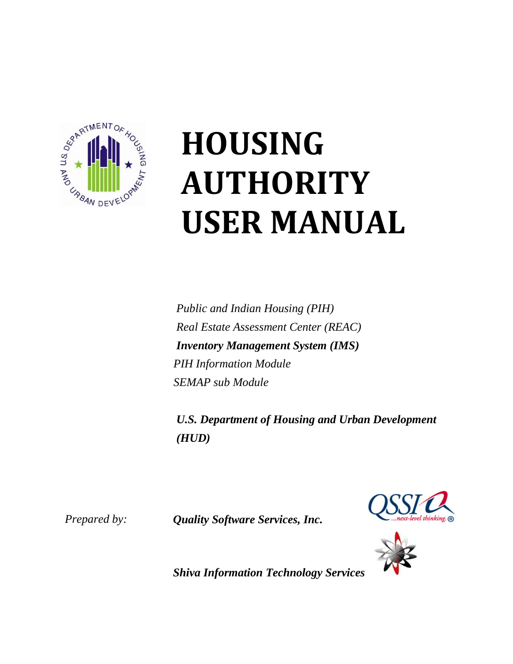

# **HOUSING AUTHORITY USER MANUAL**

*Public and Indian Housing (PIH) Real Estate Assessment Center (REAC) Inventory Management System (IMS) PIH Information Module SEMAP sub Module*

*U.S. Department of Housing and Urban Development (HUD)*





*Prepared by: Quality Software Services, Inc.*

*Shiva Information Technology Services*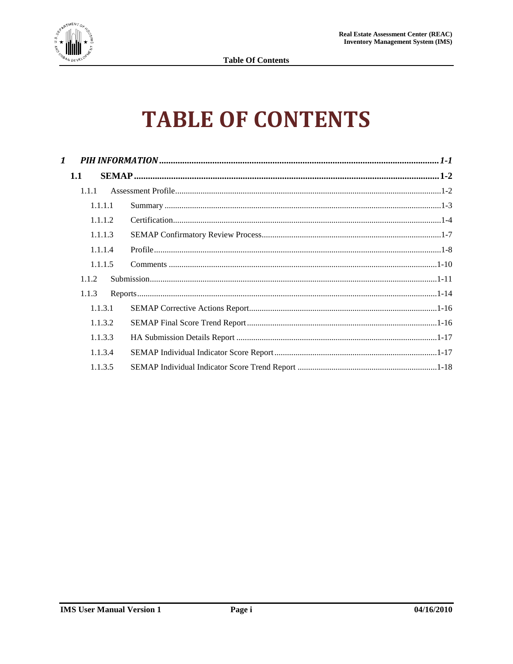

# **TABLE OF CONTENTS**

| $\mathbf{1}$ |         |  |
|--------------|---------|--|
| 1.1          |         |  |
|              | 1.1.1   |  |
|              | 1.1.1.1 |  |
|              | 1.1.1.2 |  |
|              | 1.1.1.3 |  |
|              | 1.1.1.4 |  |
|              | 1.1.1.5 |  |
|              | 1.1.2   |  |
|              | 1.1.3   |  |
|              | 1.1.3.1 |  |
|              | 1.1.3.2 |  |
|              | 1.1.3.3 |  |
|              | 1.1.3.4 |  |
|              | 1.1.3.5 |  |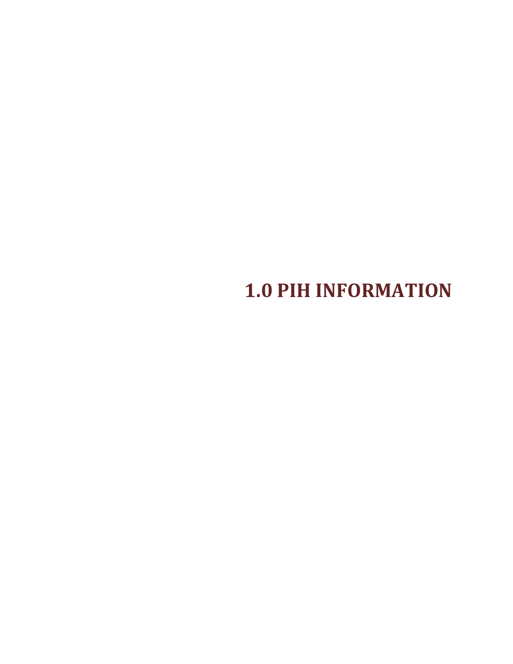**1.0 PIH INFORMATION**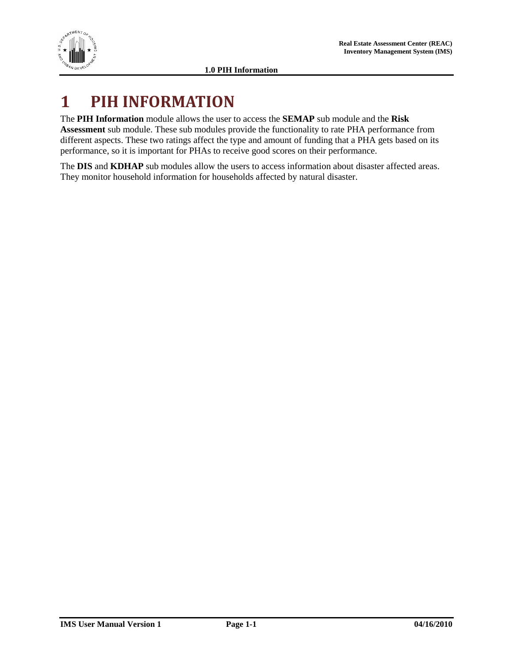

## <span id="page-3-0"></span>**1 PIH INFORMATION**

The **PIH Information** module allows the user to access the **SEMAP** sub module and the **Risk Assessment** sub module. These sub modules provide the functionality to rate PHA performance from different aspects. These two ratings affect the type and amount of funding that a PHA gets based on its performance, so it is important for PHAs to receive good scores on their performance.

The **DIS** and **KDHAP** sub modules allow the users to access information about disaster affected areas. They monitor household information for households affected by natural disaster.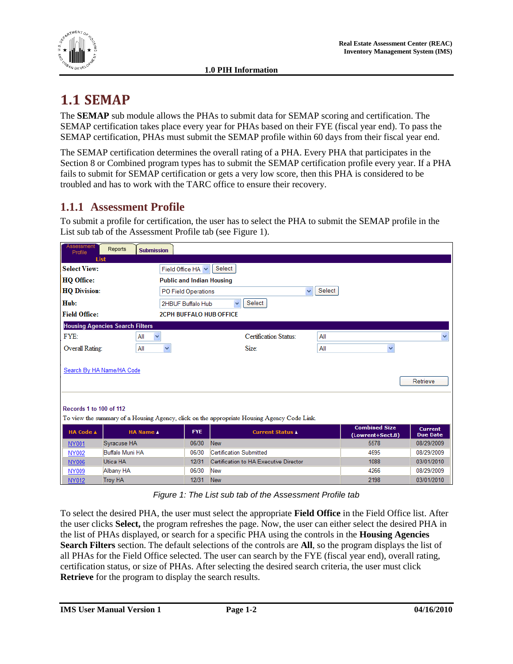

### <span id="page-4-0"></span>**1.1 SEMAP**

The **SEMAP** sub module allows the PHAs to submit data for SEMAP scoring and certification. The SEMAP certification takes place every year for PHAs based on their FYE (fiscal year end). To pass the SEMAP certification, PHAs must submit the SEMAP profile within 60 days from their fiscal year end.

The SEMAP certification determines the overall rating of a PHA. Every PHA that participates in the Section 8 or Combined program types has to submit the SEMAP certification profile every year. If a PHA fails to submit for SEMAP certification or gets a very low score, then this PHA is considered to be troubled and has to work with the TARC office to ensure their recovery.

#### <span id="page-4-1"></span>**1.1.1 Assessment Profile**

To submit a profile for certification, the user has to select the PHA to submit the SEMAP profile in the List sub tab of the Assessment Profile tab (see [Figure 1\)](#page-4-2).

| <b>Assessment</b><br>Profile                                                                                           | Reports<br><b>Submission</b>           |                                  |                                        |        |                                          |                                   |
|------------------------------------------------------------------------------------------------------------------------|----------------------------------------|----------------------------------|----------------------------------------|--------|------------------------------------------|-----------------------------------|
| <b>List</b>                                                                                                            |                                        |                                  |                                        |        |                                          |                                   |
| <b>Select View:</b>                                                                                                    |                                        | Field Office HA                  | Select                                 |        |                                          |                                   |
| HQ Office:                                                                                                             |                                        | <b>Public and Indian Housing</b> |                                        |        |                                          |                                   |
| <b>HQ Division:</b>                                                                                                    |                                        | PO Field Operations              | $\checkmark$                           | Select |                                          |                                   |
| Hub:                                                                                                                   |                                        | 2HBUF Buffalo Hub                | Select<br>$\checkmark$                 |        |                                          |                                   |
| <b>Field Office:</b>                                                                                                   |                                        | <b>2CPH BUFFALO HUB OFFICE</b>   |                                        |        |                                          |                                   |
|                                                                                                                        | <b>Housing Agencies Search Filters</b> |                                  |                                        |        |                                          |                                   |
| FYE:                                                                                                                   | $\checkmark$<br>All                    |                                  | <b>Certification Status:</b>           | All    |                                          |                                   |
|                                                                                                                        |                                        |                                  | Size:                                  |        | $\checkmark$                             |                                   |
| Overall Rating:                                                                                                        | All                                    | ×                                |                                        | All    |                                          |                                   |
|                                                                                                                        | Search By HA Name/HA Code              |                                  |                                        |        |                                          | Retrieve                          |
| Records 1 to 100 of 112<br>To view the summary of a Housing Agency, click on the appropriate Housing Agency Code Link. |                                        |                                  |                                        |        |                                          |                                   |
| <b>HA Code A</b>                                                                                                       | <b>HA Name</b>                         | <b>FYE</b>                       | <b>Current Status A</b>                |        | <b>Combined Size</b><br>(Lowrent+Sect.8) | <b>Current</b><br><b>Due Date</b> |
| <b>NY001</b>                                                                                                           | Syracuse HA                            | 06/30                            | <b>New</b>                             |        | 5578                                     | 08/29/2009                        |
| NY002                                                                                                                  | Buffalo Muni HA                        | 06/30                            | <b>Certification Submitted</b>         |        | 4695                                     | 08/29/2009                        |
| <b>NY006</b>                                                                                                           | Utica HA                               | 12/31                            | Certification to HA Executive Director |        | 1088                                     | 03/01/2010                        |
| NY009                                                                                                                  | Albany HA                              | 06/30                            | <b>New</b>                             |        | 4266                                     | 08/29/2009                        |
| <b>NY012</b>                                                                                                           | <b>Troy HA</b>                         | 12/31                            | <b>New</b>                             |        | 2198                                     | 03/01/2010                        |

*Figure 1: The List sub tab of the Assessment Profile tab*

<span id="page-4-2"></span>To select the desired PHA, the user must select the appropriate **Field Office** in the Field Office list. After the user clicks **Select,** the program refreshes the page. Now, the user can either select the desired PHA in the list of PHAs displayed, or search for a specific PHA using the controls in the **Housing Agencies Search Filters** section. The default selections of the controls are **All**, so the program displays the list of all PHAs for the Field Office selected. The user can search by the FYE (fiscal year end), overall rating, certification status, or size of PHAs. After selecting the desired search criteria, the user must click **Retrieve** for the program to display the search results.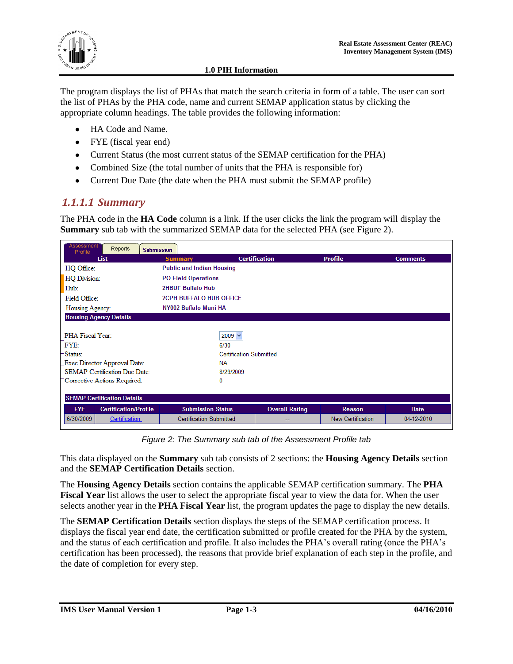

The program displays the list of PHAs that match the search criteria in form of a table. The user can sort the list of PHAs by the PHA code, name and current SEMAP application status by clicking the appropriate column headings. The table provides the following information:

- HA Code and Name.
- FYE (fiscal year end)
- Current Status (the most current status of the SEMAP certification for the PHA)
- Combined Size (the total number of units that the PHA is responsible for)
- Current Due Date (the date when the PHA must submit the SEMAP profile)

#### <span id="page-5-0"></span>*1.1.1.1 Summary*

The PHA code in the **HA Code** column is a link. If the user clicks the link the program will display the **Summary** sub tab with the summarized SEMAP data for the selected PHA (see [Figure 2\)](#page-5-1).

| Assessment<br>Reports<br>Profile           | <b>Submission</b>                |                                |                   |                 |  |  |  |
|--------------------------------------------|----------------------------------|--------------------------------|-------------------|-----------------|--|--|--|
| <b>List</b>                                | <b>Summary</b>                   | <b>Certification</b>           | <b>Profile</b>    | <b>Comments</b> |  |  |  |
| HQ Office:                                 | <b>Public and Indian Housing</b> |                                |                   |                 |  |  |  |
| HQ Division:                               | <b>PO Field Operations</b>       |                                |                   |                 |  |  |  |
| Hub:                                       | <b>2HBUF Buffalo Hub</b>         |                                |                   |                 |  |  |  |
| Field Office:                              | <b>2CPH BUFFALO HUB OFFICE</b>   |                                |                   |                 |  |  |  |
| Housing Agency:                            | NY002 Buffalo Muni HA            |                                |                   |                 |  |  |  |
| <b>Housing Agency Details</b>              |                                  |                                |                   |                 |  |  |  |
|                                            |                                  |                                |                   |                 |  |  |  |
| <b>PHA Fiscal Year:</b>                    | $2009 \vee$                      |                                |                   |                 |  |  |  |
| FYE:                                       | 6/30                             |                                |                   |                 |  |  |  |
| Status:                                    |                                  | <b>Certification Submitted</b> |                   |                 |  |  |  |
| Exec Director Approval Date:               | <b>NA</b>                        |                                |                   |                 |  |  |  |
| <b>SEMAP Certification Due Date:</b>       | 8/29/2009                        |                                |                   |                 |  |  |  |
| Corrective Actions Required:               | 0                                |                                |                   |                 |  |  |  |
|                                            |                                  |                                |                   |                 |  |  |  |
| <b>SEMAP Certification Details</b>         |                                  |                                |                   |                 |  |  |  |
| <b>FYE</b><br><b>Certification/Profile</b> | <b>Submission Status</b>         | <b>Overall Rating</b>          | <b>Reason</b>     | <b>Date</b>     |  |  |  |
| 6/30/2009<br><b>Certification</b>          | <b>Certification Submitted</b>   | --                             | New Certification | 04-12-2010      |  |  |  |

*Figure 2: The Summary sub tab of the Assessment Profile tab*

<span id="page-5-1"></span>This data displayed on the **Summary** sub tab consists of 2 sections: the **Housing Agency Details** section and the **SEMAP Certification Details** section.

The **Housing Agency Details** section contains the applicable SEMAP certification summary. The **PHA Fiscal Year** list allows the user to select the appropriate fiscal year to view the data for. When the user selects another year in the **PHA Fiscal Year** list, the program updates the page to display the new details.

The **SEMAP Certification Details** section displays the steps of the SEMAP certification process. It displays the fiscal year end date, the certification submitted or profile created for the PHA by the system, and the status of each certification and profile. It also includes the PHA"s overall rating (once the PHA"s certification has been processed), the reasons that provide brief explanation of each step in the profile, and the date of completion for every step.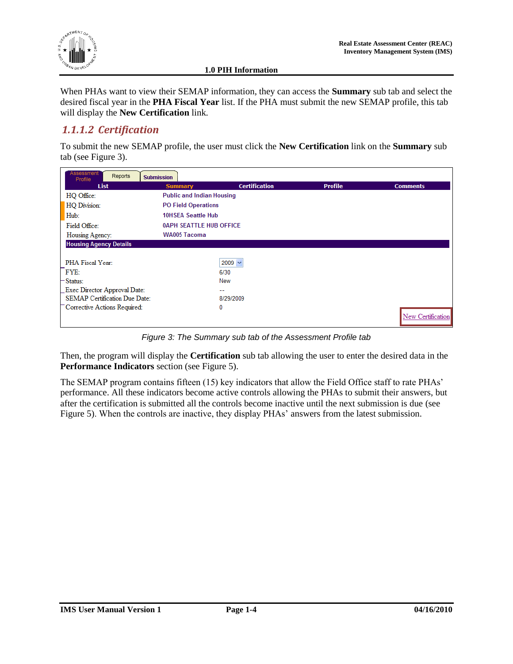

When PHAs want to view their SEMAP information, they can access the **Summary** sub tab and select the desired fiscal year in the **PHA Fiscal Year** list. If the PHA must submit the new SEMAP profile, this tab will display the **New Certification** link.

#### <span id="page-6-0"></span>*1.1.1.2 Certification*

To submit the new SEMAP profile, the user must click the **New Certification** link on the **Summary** sub tab (see [Figure 3\)](#page-6-1).

| <b>Assessment</b><br>Reports<br>Profile | <b>Submission</b>                |                      |                |                   |
|-----------------------------------------|----------------------------------|----------------------|----------------|-------------------|
| <b>List</b>                             | <b>Summary</b>                   | <b>Certification</b> | <b>Profile</b> | <b>Comments</b>   |
| HQ Office:                              | <b>Public and Indian Housing</b> |                      |                |                   |
| HQ Division:                            | <b>PO Field Operations</b>       |                      |                |                   |
| Hub:                                    | <b>10HSEA Seattle Hub</b>        |                      |                |                   |
| Field Office:                           | <b>0APH SEATTLE HUB OFFICE</b>   |                      |                |                   |
| Housing Agency:                         | WA005 Tacoma                     |                      |                |                   |
| <b>Housing Agency Details</b>           |                                  |                      |                |                   |
|                                         |                                  |                      |                |                   |
| PHA Fiscal Year:                        |                                  | $2009 \vee$          |                |                   |
| FYE:                                    |                                  | 6/30                 |                |                   |
| - Status:                               |                                  | New                  |                |                   |
| Exec Director Approval Date:            |                                  | --                   |                |                   |
| <b>SEMAP Certification Due Date:</b>    |                                  | 8/29/2009            |                |                   |
| Corrective Actions Required:            |                                  | 0                    |                |                   |
|                                         |                                  |                      |                | New Certification |

*Figure 3: The Summary sub tab of the Assessment Profile tab*

<span id="page-6-1"></span>Then, the program will display the **Certification** sub tab allowing the user to enter the desired data in the **Performance Indicators** section (see [Figure 5\)](#page-8-0).

The SEMAP program contains fifteen (15) key indicators that allow the Field Office staff to rate PHAs' performance. All these indicators become active controls allowing the PHAs to submit their answers, but after the certification is submitted all the controls become inactive until the next submission is due (see [Figure 5\)](#page-8-0). When the controls are inactive, they display PHAs' answers from the latest submission.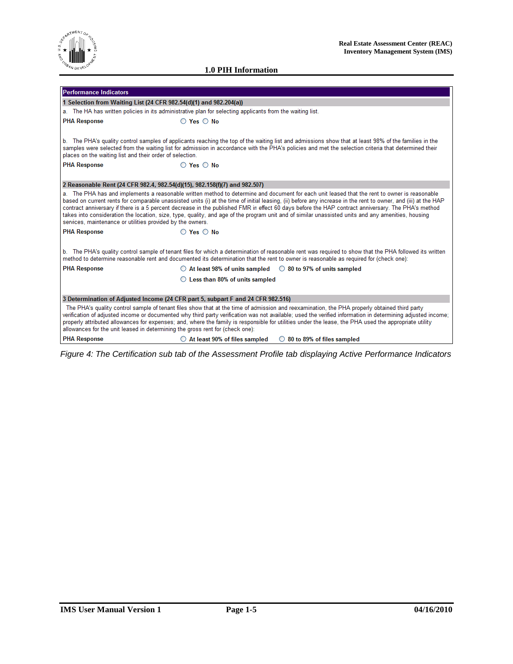

| <b>Performance Indicators</b>                                                   |                                                                                                                                                                                                                                                                                                                                                                                                                                                                                                                                                                                                                             |
|---------------------------------------------------------------------------------|-----------------------------------------------------------------------------------------------------------------------------------------------------------------------------------------------------------------------------------------------------------------------------------------------------------------------------------------------------------------------------------------------------------------------------------------------------------------------------------------------------------------------------------------------------------------------------------------------------------------------------|
| 1 Selection from Waiting List (24 CFR 982.54(d)(1) and 982.204(a))              |                                                                                                                                                                                                                                                                                                                                                                                                                                                                                                                                                                                                                             |
|                                                                                 | a. The HA has written policies in its administrative plan for selecting applicants from the waiting list.                                                                                                                                                                                                                                                                                                                                                                                                                                                                                                                   |
| <b>PHA Response</b>                                                             | $\bigcirc$ Yes $\bigcirc$ No                                                                                                                                                                                                                                                                                                                                                                                                                                                                                                                                                                                                |
| places on the waiting list and their order of selection.<br><b>PHA Response</b> | b. The PHA's quality control samples of applicants reaching the top of the waiting list and admissions show that at least 98% of the families in the<br>samples were selected from the waiting list for admission in accordance with the PHA's policies and met the selection criteria that determined their<br>$\bigcirc$ Yes $\bigcirc$ No                                                                                                                                                                                                                                                                                |
| 2 Reasonable Rent (24 CFR 982.4, 982.54(d)(15), 982.158(f)(7) and 982.507)      |                                                                                                                                                                                                                                                                                                                                                                                                                                                                                                                                                                                                                             |
| services, maintenance or utilities provided by the owners.                      | a. The PHA has and implements a reasonable written method to determine and document for each unit leased that the rent to owner is reasonable<br>based on current rents for comparable unassisted units (i) at the time of initial leasing, (ii) before any increase in the rent to owner, and (iii) at the HAP<br>contract anniversary if there is a 5 percent decrease in the published FMR in effect 60 days before the HAP contract anniversary. The PHA's method<br>takes into consideration the location, size, type, quality, and age of the program unit and of similar unassisted units and any amenities, housing |
| <b>PHA Response</b>                                                             | $\bigcirc$ Yes $\bigcirc$ No                                                                                                                                                                                                                                                                                                                                                                                                                                                                                                                                                                                                |
|                                                                                 | b. The PHA's quality control sample of tenant files for which a determination of reasonable rent was required to show that the PHA followed its written<br>method to determine reasonable rent and documented its determination that the rent to owner is reasonable as required for (check one):                                                                                                                                                                                                                                                                                                                           |
| <b>PHA Response</b>                                                             | $\circ$ At least 98% of units sampled $\circ$ 80 to 97% of units sampled                                                                                                                                                                                                                                                                                                                                                                                                                                                                                                                                                    |
|                                                                                 | $\bigcirc$ Less than 80% of units sampled                                                                                                                                                                                                                                                                                                                                                                                                                                                                                                                                                                                   |
|                                                                                 | 3 Determination of Adjusted Income (24 CFR part 5, subpart F and 24 CFR 982.516)                                                                                                                                                                                                                                                                                                                                                                                                                                                                                                                                            |
| allowances for the unit leased in determining the gross rent for (check one):   | The PHA's quality control sample of tenant files show that at the time of admission and reexamination, the PHA properly obtained third party<br>verification of adjusted income or documented why third party verification was not available; used the verified information in determining adjusted income;<br>properly attributed allowances for expenses; and, where the family is responsible for utilities under the lease, the PHA used the appropriate utility                                                                                                                                                        |
| <b>PHA Response</b>                                                             | $\bigcirc$ At least 90% of files sampled<br>$\circ$ 80 to 89% of files sampled                                                                                                                                                                                                                                                                                                                                                                                                                                                                                                                                              |

*Figure 4: The Certification sub tab of the Assessment Profile tab displaying Active Performance Indicators*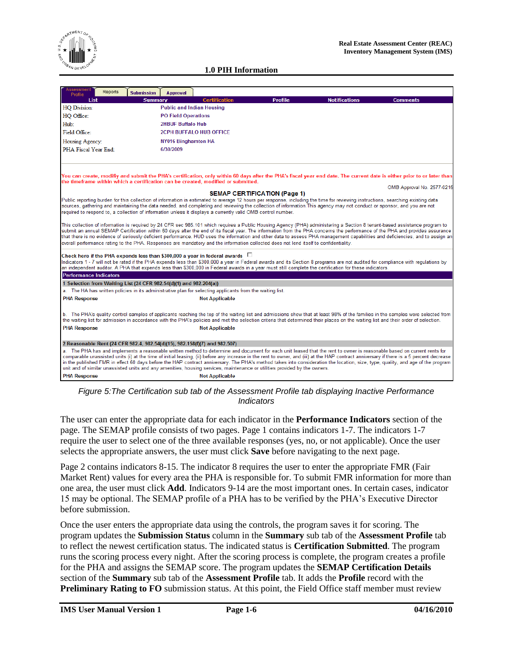

| Assessment<br>Reports<br><b>Submission</b><br>Profile                                                                                                                                                                                                                                                                                                                                                                                                                                                                                                                                                                                                                                  | <b>Approval</b>                  |                                     |                |                      |                            |
|----------------------------------------------------------------------------------------------------------------------------------------------------------------------------------------------------------------------------------------------------------------------------------------------------------------------------------------------------------------------------------------------------------------------------------------------------------------------------------------------------------------------------------------------------------------------------------------------------------------------------------------------------------------------------------------|----------------------------------|-------------------------------------|----------------|----------------------|----------------------------|
| List<br><b>Summary</b>                                                                                                                                                                                                                                                                                                                                                                                                                                                                                                                                                                                                                                                                 |                                  | <b>Certification</b>                | <b>Profile</b> | <b>Notifications</b> | <b>Comments</b>            |
| <b>HQ</b> Division:                                                                                                                                                                                                                                                                                                                                                                                                                                                                                                                                                                                                                                                                    | <b>Public and Indian Housing</b> |                                     |                |                      |                            |
| HQ Office:                                                                                                                                                                                                                                                                                                                                                                                                                                                                                                                                                                                                                                                                             | <b>PO Field Operations</b>       |                                     |                |                      |                            |
| Hub:                                                                                                                                                                                                                                                                                                                                                                                                                                                                                                                                                                                                                                                                                   | <b>2HBUF Buffalo Hub</b>         |                                     |                |                      |                            |
| Field Office:                                                                                                                                                                                                                                                                                                                                                                                                                                                                                                                                                                                                                                                                          | <b>2CPH BUFFALO HUB OFFICE</b>   |                                     |                |                      |                            |
| Housing Agency:                                                                                                                                                                                                                                                                                                                                                                                                                                                                                                                                                                                                                                                                        | <b>NY016 Binghamton HA</b>       |                                     |                |                      |                            |
| PHA Fiscal Year End:                                                                                                                                                                                                                                                                                                                                                                                                                                                                                                                                                                                                                                                                   | 6/30/2009                        |                                     |                |                      |                            |
| You can create, modifiy and submit the PHA's certification, only within 60 days after the PHA's fiscal year end date. The current date is either prior to or later than<br>the timeframe within which a certification can be created, modified or submitted.                                                                                                                                                                                                                                                                                                                                                                                                                           |                                  |                                     |                |                      | OMB Approval No. 2577-0215 |
|                                                                                                                                                                                                                                                                                                                                                                                                                                                                                                                                                                                                                                                                                        |                                  | <b>SEMAP CERTIFICATION (Page 1)</b> |                |                      |                            |
| Public reporting burden for this collection of information is estimated to average 12 hours per response, including the time for reviewing instructions, searching existing data<br>sources, gathering and maintaining the data needed, and completing and reviewing the collection of information. This agency may not conduct or sponsor, and you are not<br>required to respond to, a collection of information unless it displays a currently valid OMB control number.                                                                                                                                                                                                            |                                  |                                     |                |                      |                            |
| This collection of information is required by 24 CFR sec 985.101 which requires a Public Housing Agency (PHA) administering a Section 8 tenant-based assistance program to<br>submit an annual SEMAP Certification within 60 days after the end of its fiscal year. The information from the PHA concerns the performance of the PHA and provides assurance<br>that there is no evidence of seriously deficient performance. HUD uses the information and other data to assess PHA management capabilities and deficiencies, and to assign an<br>overall performance rating to the PHA. Responses are mandatory and the information collected does not lend itself to confidentiality. |                                  |                                     |                |                      |                            |
| Check here if the PHA expends less than \$300,000 a year in federal awards $\Box$<br>Indicators 1 - 7 will not be rated if the PHA expends less than \$300,000 a year in Federal awards and its Section 8 programs are not audited for compliance with regulations by<br>an independent auditor. A PHA that expends less than \$300,000 in Federal awards in a year must still complete the certification for these indicators.                                                                                                                                                                                                                                                        |                                  |                                     |                |                      |                            |
| <b>Performance Indicators</b>                                                                                                                                                                                                                                                                                                                                                                                                                                                                                                                                                                                                                                                          |                                  |                                     |                |                      |                            |
| 1 Selection from Waiting List (24 CFR 982.54(d)(1) and 982.204(a))                                                                                                                                                                                                                                                                                                                                                                                                                                                                                                                                                                                                                     |                                  |                                     |                |                      |                            |
| a. The HA has written policies in its administrative plan for selecting applicants from the waiting list.                                                                                                                                                                                                                                                                                                                                                                                                                                                                                                                                                                              |                                  |                                     |                |                      |                            |
| <b>PHA Response</b>                                                                                                                                                                                                                                                                                                                                                                                                                                                                                                                                                                                                                                                                    |                                  | <b>Not Applicable</b>               |                |                      |                            |
| b. The PHA's quality control samples of applicants reaching the top of the waiting list and admissions show that at least 98% of the families in the samples were selected from<br>the waiting list for admission in accordance with the PHA's policies and met the selection criteria that determined their places on the waiting list and their order of selection.<br><b>PHA Response</b>                                                                                                                                                                                                                                                                                           |                                  | <b>Not Applicable</b>               |                |                      |                            |
|                                                                                                                                                                                                                                                                                                                                                                                                                                                                                                                                                                                                                                                                                        |                                  |                                     |                |                      |                            |
| 2 Reasonable Rent (24 CFR 982.4, 982.54(d)(15), 982.158(f)(7) and 982.507)                                                                                                                                                                                                                                                                                                                                                                                                                                                                                                                                                                                                             |                                  |                                     |                |                      |                            |
| a. The PHA has and implements a reasonable written method to determine and document for each unit leased that the rent to owner is reasonable based on current rents for<br>comparable unassisted units (i) at the time of initial leasing, (ii) before any increase in the rent to owner, and (iii) at the HAP contract anniversary if there is a 5 percent decrease<br>in the published FMR in effect 60 days before the HAP contract anniversary. The PHA's method takes into consideration the location, size, type, quality, and age of the program<br>unit and of similar unassisted units and any amenities, housing services, maintenance or utilities provided by the owners. |                                  |                                     |                |                      |                            |
| <b>PHA Response</b>                                                                                                                                                                                                                                                                                                                                                                                                                                                                                                                                                                                                                                                                    |                                  | <b>Not Applicable</b>               |                |                      |                            |

<span id="page-8-0"></span>*Figure 5:The Certification sub tab of the Assessment Profile tab displaying Inactive Performance Indicators*

The user can enter the appropriate data for each indicator in the **Performance Indicators** section of the page. The SEMAP profile consists of two pages. Page 1 contains indicators 1-7. The indicators 1-7 require the user to select one of the three available responses (yes, no, or not applicable). Once the user selects the appropriate answers, the user must click **Save** before navigating to the next page.

Page 2 contains indicators 8-15. The indicator 8 requires the user to enter the appropriate FMR (Fair Market Rent) values for every area the PHA is responsible for. To submit FMR information for more than one area, the user must click **Add**. Indicators 9-14 are the most important ones. In certain cases, indicator 15 may be optional. The SEMAP profile of a PHA has to be verified by the PHA"s Executive Director before submission.

Once the user enters the appropriate data using the controls, the program saves it for scoring. The program updates the **Submission Status** column in the **Summary** sub tab of the **Assessment Profile** tab to reflect the newest certification status. The indicated status is **Certification Submitted**. The program runs the scoring process every night. After the scoring process is complete, the program creates a profile for the PHA and assigns the SEMAP score. The program updates the **SEMAP Certification Details** section of the **Summary** sub tab of the **Assessment Profile** tab. It adds the **Profile** record with the **Preliminary Rating to FO** submission status. At this point, the Field Office staff member must review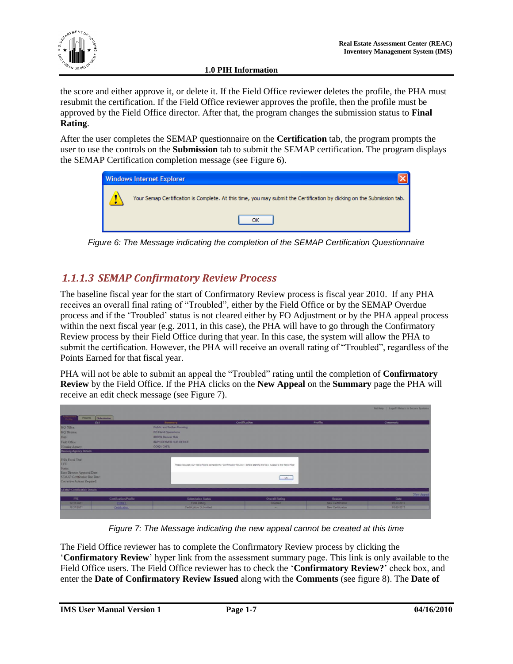

the score and either approve it, or delete it. If the Field Office reviewer deletes the profile, the PHA must resubmit the certification. If the Field Office reviewer approves the profile, then the profile must be approved by the Field Office director. After that, the program changes the submission status to **Final Rating**.

After the user completes the SEMAP questionnaire on the **Certification** tab, the program prompts the user to use the controls on the **Submission** tab to submit the SEMAP certification. The program displays the SEMAP Certification completion message (see [Figure 6\)](#page-9-1).



*Figure 6: The Message indicating the completion of the SEMAP Certification Questionnaire*

#### <span id="page-9-1"></span><span id="page-9-0"></span>*1.1.1.3 SEMAP Confirmatory Review Process*

The baseline fiscal year for the start of Confirmatory Review process is fiscal year 2010. If any PHA receives an overall final rating of "Troubled", either by the Field Office or by the SEMAP Overdue process and if the "Troubled" status is not cleared either by FO Adjustment or by the PHA appeal process within the next fiscal year (e.g. 2011, in this case), the PHA will have to go through the Confirmatory Review process by their Field Office during that year. In this case, the system will allow the PHA to submit the certification. However, the PHA will receive an overall rating of "Troubled", regardless of the Points Earned for that fiscal year.

PHA will not be able to submit an appeal the "Troubled" rating until the completion of **Confirmatory Review** by the Field Office. If the PHA clicks on the **New Appeal** on the **Summary** page the PHA will receive an edit check message (see Figure 7).

|                                                                            |                       |                            |                                                                                                                            |                   | Get Help   Logoff / Reburn to Secure Systems |
|----------------------------------------------------------------------------|-----------------------|----------------------------|----------------------------------------------------------------------------------------------------------------------------|-------------------|----------------------------------------------|
| Assessment<br>Reports Submitsion                                           |                       |                            |                                                                                                                            |                   |                                              |
| tist                                                                       |                       | Summary                    | Certification                                                                                                              | Profile           | <b>Comments</b>                              |
| HQ Office:                                                                 |                       | Public and Indian Housing. |                                                                                                                            |                   |                                              |
| <b>HQ Division:</b>                                                        |                       | <b>PO Field Operations</b> |                                                                                                                            |                   |                                              |
| Hub:                                                                       |                       | <b>SHDEN Denver Hub</b>    |                                                                                                                            |                   |                                              |
| Field Office                                                               |                       | SAPH DENVER HUB OFFICE     |                                                                                                                            |                   |                                              |
| Housing Agency.                                                            |                       | CO921 CHFA                 |                                                                                                                            |                   |                                              |
| <b>Housing Agency Details</b>                                              |                       |                            |                                                                                                                            |                   |                                              |
| PHA Fiscal Year.<br>FYE:<br><b>Status:</b><br>Exec Director Approval Date: |                       |                            | Please request your feld office to complete the "Confirmatory Review", before starting the New Appeal to the field office! |                   |                                              |
| SEMAP Certification Due Date:<br>Corrective Actions Required:              |                       |                            |                                                                                                                            | $-86$             |                                              |
| <b>SEMAP Certification Details</b>                                         |                       |                            |                                                                                                                            |                   | New Arrest                                   |
| FYE                                                                        | Certification/Profile | <b>Submission Status</b>   | <b>Overall Rating</b>                                                                                                      | Reason.           | Date                                         |
|                                                                            | <b>Enforced</b>       | Final Rating               | Troubled                                                                                                                   | New Certification | 03-22-2012                                   |
| 12/31/2011                                                                 |                       |                            |                                                                                                                            |                   |                                              |

*Figure 7: The Message indicating the new appeal cannot be created at this time*

The Field Office reviewer has to complete the Confirmatory Review process by clicking the "**Confirmatory Review**" hyper link from the assessment summary page. This link is only available to the Field Office users. The Field Office reviewer has to check the "**Confirmatory Review?**" check box, and enter the **Date of Confirmatory Review Issued** along with the **Comments** (see figure 8). The **Date of**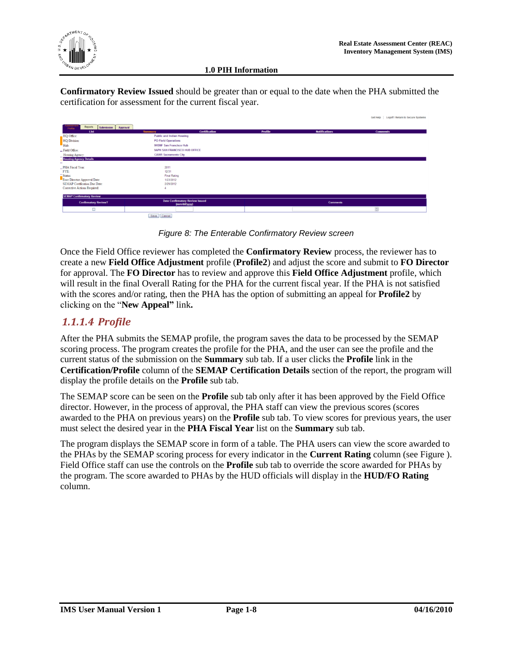

**Confirmatory Review Issued** should be greater than or equal to the date when the PHA submitted the certification for assessment for the current fiscal year.

|                                                    |                                        |                |                      | Get Help   Logoff / Return to Secure Systems |
|----------------------------------------------------|----------------------------------------|----------------|----------------------|----------------------------------------------|
| Reports                                            |                                        |                |                      |                                              |
| Assessmi<br>Profile<br>Submission Approval<br>List | <b>Certification</b><br>Summary        | <b>Profile</b> | <b>Notifications</b> | <b>Comments</b>                              |
| HQ Office:                                         | <b>Public and Indian Housing</b>       |                |                      |                                              |
| HQ Division:                                       | <b>PO Field Operations</b>             |                |                      |                                              |
| Hub:                                               | <b>9HSNF San Francisco Hub</b>         |                |                      |                                              |
| - Field Office:                                    | <b>9APH SAN FRANCISCO HUB OFFICE</b>   |                |                      |                                              |
| Housing Agency:                                    | <b>CA005 Sacramento City</b>           |                |                      |                                              |
| <b>Housing Agency Details</b>                      |                                        |                |                      |                                              |
|                                                    |                                        |                |                      |                                              |
| PHA Fiscal Year:<br>FYE:                           | 2011                                   |                |                      |                                              |
|                                                    | 12/31<br><b>Final Rating</b>           |                |                      |                                              |
| Status:<br>Exec Director Approval Date:            | 1/23/2012                              |                |                      |                                              |
| SEMAP Certification Due Date:                      | 2/29/2012                              |                |                      |                                              |
| Corrective Actions Required:                       |                                        |                |                      |                                              |
| <b>SEMAP Confirmatory Review</b>                   |                                        |                |                      |                                              |
|                                                    | <b>Date Confirmatory Review Issued</b> |                |                      |                                              |
| <b>Confirmatory Review?</b>                        | (mm/dd/yyyy)                           |                | <b>Comments</b>      |                                              |
| □                                                  |                                        |                |                      | 昌                                            |
|                                                    | Save Cancel                            |                |                      |                                              |
|                                                    |                                        |                |                      |                                              |

*Figure 8: The Enterable Confirmatory Review screen*

Once the Field Office reviewer has completed the **Confirmatory Review** process, the reviewer has to create a new **Field Office Adjustment** profile (**Profile2**) and adjust the score and submit to **FO Director** for approval. The **FO Director** has to review and approve this **Field Office Adjustment** profile, which will result in the final Overall Rating for the PHA for the current fiscal year. If the PHA is not satisfied with the scores and/or rating, then the PHA has the option of submitting an appeal for **Profile2** by clicking on the "**New Appeal"** link**.** 

#### <span id="page-10-0"></span>*1.1.1.4 Profile*

After the PHA submits the SEMAP profile, the program saves the data to be processed by the SEMAP scoring process. The program creates the profile for the PHA, and the user can see the profile and the current status of the submission on the **Summary** sub tab. If a user clicks the **Profile** link in the **Certification/Profile** column of the **SEMAP Certification Details** section of the report, the program will display the profile details on the **Profile** sub tab.

The SEMAP score can be seen on the **Profile** sub tab only after it has been approved by the Field Office director. However, in the process of approval, the PHA staff can view the previous scores (scores awarded to the PHA on previous years) on the **Profile** sub tab. To view scores for previous years, the user must select the desired year in the **PHA Fiscal Year** list on the **Summary** sub tab.

The program displays the SEMAP score in form of a table. The PHA users can view the score awarded to the PHAs by the SEMAP scoring process for every indicator in the **Current Rating** column (see [Figure \)](#page-11-0). Field Office staff can use the controls on the **Profile** sub tab to override the score awarded for PHAs by the program. The score awarded to PHAs by the HUD officials will display in the **HUD/FO Rating** column.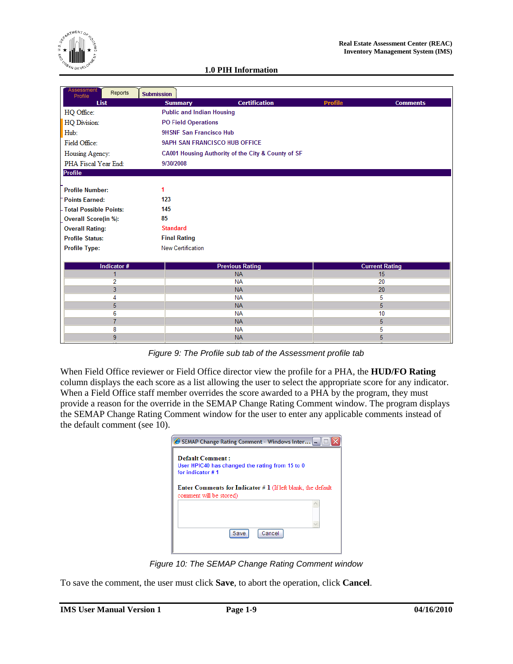

| Assessment<br>Reports<br>Profile | <b>Submission</b>                |                                                    |                |                       |  |  |  |
|----------------------------------|----------------------------------|----------------------------------------------------|----------------|-----------------------|--|--|--|
| <b>List</b>                      | <b>Summary</b>                   | <b>Certification</b>                               | <b>Profile</b> | <b>Comments</b>       |  |  |  |
| HQ Office:                       | <b>Public and Indian Housing</b> |                                                    |                |                       |  |  |  |
| HQ Division:                     | <b>PO Field Operations</b>       |                                                    |                |                       |  |  |  |
| Hub:                             | <b>9HSNF San Francisco Hub</b>   |                                                    |                |                       |  |  |  |
| Field Office:                    | 9APH SAN FRANCISCO HUB OFFICE    |                                                    |                |                       |  |  |  |
| Housing Agency:                  |                                  | CA001 Housing Authority of the City & County of SF |                |                       |  |  |  |
| PHA Fiscal Year End:             | 9/30/2008                        |                                                    |                |                       |  |  |  |
| <b>Profile</b>                   |                                  |                                                    |                |                       |  |  |  |
|                                  |                                  |                                                    |                |                       |  |  |  |
| <b>Profile Number:</b>           | 1                                |                                                    |                |                       |  |  |  |
| <b>Points Earned:</b>            | 123                              |                                                    |                |                       |  |  |  |
| - Total Possible Points:         | 145                              |                                                    |                |                       |  |  |  |
| <b>Overall Score(in %):</b>      | 85                               |                                                    |                |                       |  |  |  |
| <b>Overall Rating:</b>           | <b>Standard</b>                  |                                                    |                |                       |  |  |  |
| <b>Profile Status:</b>           | <b>Final Rating</b>              |                                                    |                |                       |  |  |  |
| <b>Profile Type:</b>             | <b>New Certification</b>         |                                                    |                |                       |  |  |  |
|                                  |                                  |                                                    |                |                       |  |  |  |
| Indicator #                      |                                  | <b>Previous Rating</b>                             |                | <b>Current Rating</b> |  |  |  |
| 1                                |                                  | <b>NA</b>                                          |                | 15                    |  |  |  |
| 2                                |                                  | <b>NA</b>                                          |                | 20                    |  |  |  |
| 3                                |                                  | <b>NA</b>                                          |                | 20                    |  |  |  |
| 4                                |                                  | <b>NA</b>                                          |                | 5                     |  |  |  |
| 5<br>6                           |                                  | <b>NA</b><br><b>NA</b>                             |                | 5<br>10               |  |  |  |
| $\overline{7}$                   |                                  | <b>NA</b>                                          |                | 5                     |  |  |  |
| 8                                |                                  | <b>NA</b>                                          |                | 5                     |  |  |  |
| 9                                |                                  | <b>NA</b>                                          |                | 5                     |  |  |  |
|                                  |                                  |                                                    |                |                       |  |  |  |

*Figure 9: The Profile sub tab of the Assessment profile tab*

<span id="page-11-0"></span>When Field Office reviewer or Field Office director view the profile for a PHA, the **HUD/FO Rating** column displays the each score as a list allowing the user to select the appropriate score for any indicator. When a Field Office staff member overrides the score awarded to a PHA by the program, they must provide a reason for the override in the SEMAP Change Rating Comment window. The program displays the SEMAP Change Rating Comment window for the user to enter any applicable comments instead of the default comment (see 10).

|                                              | <b><i>●</i> SEMAP Change Rating Comment - Windows Inter  -</b>        |        |  |
|----------------------------------------------|-----------------------------------------------------------------------|--------|--|
| <b>Default Comment:</b><br>for indicator # 1 | User HPIC40 has changed the rating from 15 to 0                       |        |  |
| comment will be stored)                      | <b>Enter Comments for Indicator</b> $# 1$ (If left blank, the default |        |  |
|                                              | Save                                                                  | Cancel |  |
|                                              |                                                                       |        |  |

*Figure 10: The SEMAP Change Rating Comment window*

To save the comment, the user must click **Save**, to abort the operation, click **Cancel**.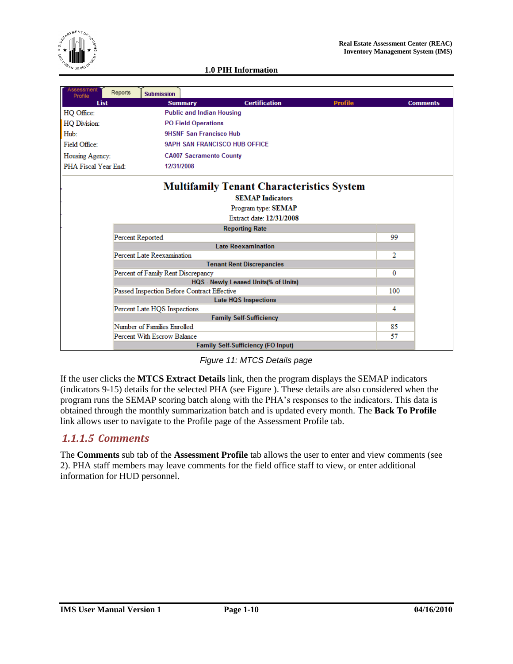

| <b>Assessment</b><br>Profile      | Reports                     | <b>Submission</b>                           |                                  |                                                  |                |     |                 |
|-----------------------------------|-----------------------------|---------------------------------------------|----------------------------------|--------------------------------------------------|----------------|-----|-----------------|
| <b>List</b>                       |                             | <b>Summary</b>                              |                                  | <b>Certification</b>                             | <b>Profile</b> |     | <b>Comments</b> |
| HQ Office:                        |                             |                                             | <b>Public and Indian Housing</b> |                                                  |                |     |                 |
| <b>HQ Division:</b>               |                             |                                             | <b>PO Field Operations</b>       |                                                  |                |     |                 |
| Hub:                              |                             |                                             | <b>9HSNF San Francisco Hub</b>   |                                                  |                |     |                 |
| Field Office:                     |                             |                                             |                                  | <b>9APH SAN FRANCISCO HUB OFFICE</b>             |                |     |                 |
| Housing Agency:                   |                             |                                             | <b>CA007 Sacramento County</b>   |                                                  |                |     |                 |
| PHA Fiscal Year End:              |                             | 12/31/2008                                  |                                  |                                                  |                |     |                 |
|                                   |                             |                                             |                                  | <b>Multifamily Tenant Characteristics System</b> |                |     |                 |
|                                   |                             |                                             |                                  | <b>SEMAP Indicators</b>                          |                |     |                 |
|                                   |                             |                                             |                                  | Program type: SEMAP                              |                |     |                 |
|                                   |                             |                                             |                                  | Extract date: 12/31/2008                         |                |     |                 |
|                                   |                             |                                             |                                  | <b>Reporting Rate</b>                            |                |     |                 |
|                                   | Percent Reported            |                                             |                                  |                                                  |                | 99  |                 |
|                                   |                             |                                             |                                  | <b>Late Reexamination</b>                        |                |     |                 |
|                                   |                             | Percent Late Reexamination                  |                                  |                                                  |                | 2   |                 |
|                                   |                             |                                             |                                  | <b>Tenant Rent Discrepancies</b>                 |                |     |                 |
|                                   |                             | Percent of Family Rent Discrepancy          |                                  |                                                  |                | 0   |                 |
|                                   |                             |                                             |                                  | HQS - Newly Leased Units(% of Units)             |                |     |                 |
|                                   |                             | Passed Inspection Before Contract Effective |                                  |                                                  |                | 100 |                 |
|                                   | <b>Late HQS Inspections</b> |                                             |                                  |                                                  |                |     |                 |
| 4<br>Percent Late HQS Inspections |                             |                                             |                                  |                                                  |                |     |                 |
|                                   |                             |                                             |                                  | <b>Family Self-Sufficiency</b>                   |                |     |                 |
|                                   |                             | Number of Families Enrolled                 |                                  |                                                  |                | 85  |                 |
|                                   |                             | Percent With Escrow Balance                 |                                  |                                                  |                | 57  |                 |
|                                   |                             |                                             |                                  | <b>Family Self-Sufficiency (FO Input)</b>        |                |     |                 |

#### *Figure 11: MTCS Details page*

<span id="page-12-1"></span>If the user clicks the **MTCS Extract Details** link, then the program displays the SEMAP indicators (indicators 9-15) details for the selected PHA (see [Figure \)](#page-12-1). These details are also considered when the program runs the SEMAP scoring batch along with the PHA"s responses to the indicators. This data is obtained through the monthly summarization batch and is updated every month. The **Back To Profile** link allows user to navigate to the Profile page of the Assessment Profile tab.

#### <span id="page-12-0"></span>*1.1.1.5 Comments*

The **Comments** sub tab of the **Assessment Profile** tab allows the user to enter and view comments (see 2). PHA staff members may leave comments for the field office staff to view, or enter additional information for HUD personnel.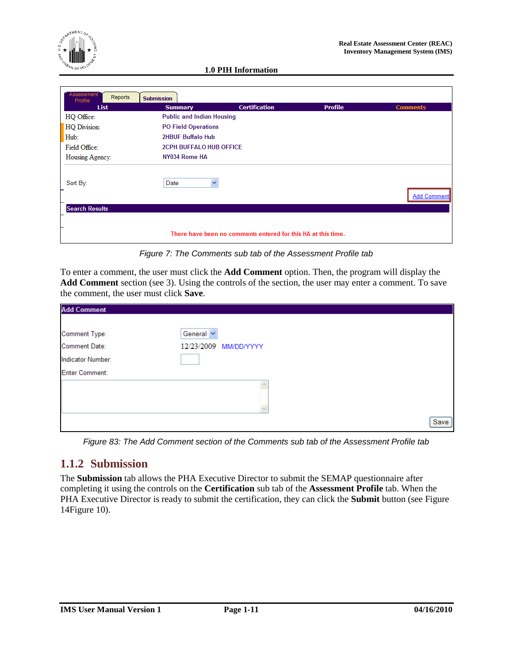

| Assessment            |                                  |                                                               |                |                    |
|-----------------------|----------------------------------|---------------------------------------------------------------|----------------|--------------------|
| Reports<br>Profile    | <b>Submission</b>                |                                                               |                |                    |
| <b>List</b>           | <b>Summary</b>                   | <b>Certification</b>                                          | <b>Profile</b> | <b>Comments</b>    |
| HQ Office:            | <b>Public and Indian Housing</b> |                                                               |                |                    |
| HQ Division:          | <b>PO Field Operations</b>       |                                                               |                |                    |
| Hub:                  | <b>2HBUF Buffalo Hub</b>         |                                                               |                |                    |
| Field Office:         | <b>2CPH BUFFALO HUB OFFICE</b>   |                                                               |                |                    |
| Housing Agency:       | NY034 Rome HA                    |                                                               |                |                    |
| Sort By:              | Date<br>×                        |                                                               |                | <b>Add Comment</b> |
| <b>Search Results</b> |                                  |                                                               |                |                    |
|                       |                                  | There have been no comments entered for this HA at this time. |                |                    |

*Figure 7: The Comments sub tab of the Assessment Profile tab*

To enter a comment, the user must click the **Add Comment** option. Then, the program will display the **Add Comment** section (see 3). Using the controls of the section, the user may enter a comment. To save the comment, the user must click **Save**.

| <b>Add Comment</b>    |                       |      |
|-----------------------|-----------------------|------|
|                       |                       |      |
| Comment Type:         | General V             |      |
| <b>Comment Date:</b>  | 12/23/2009 MM/DD/YYYY |      |
| Indicator Number:     |                       |      |
| <b>Enter Comment:</b> |                       |      |
|                       |                       |      |
|                       |                       |      |
|                       |                       |      |
|                       |                       | Save |

*Figure 83: The Add Comment section of the Comments sub tab of the Assessment Profile tab*

#### <span id="page-13-0"></span>**1.1.2 Submission**

The **Submission** tab allows the PHA Executive Director to submit the SEMAP questionnaire after completing it using the controls on the **Certification** sub tab of the **Assessment Profile** tab. When the PHA Executive Director is ready to submit the certification, they can click the **Submit** button (see Figure 1[4Figure 10\)](#page-15-0).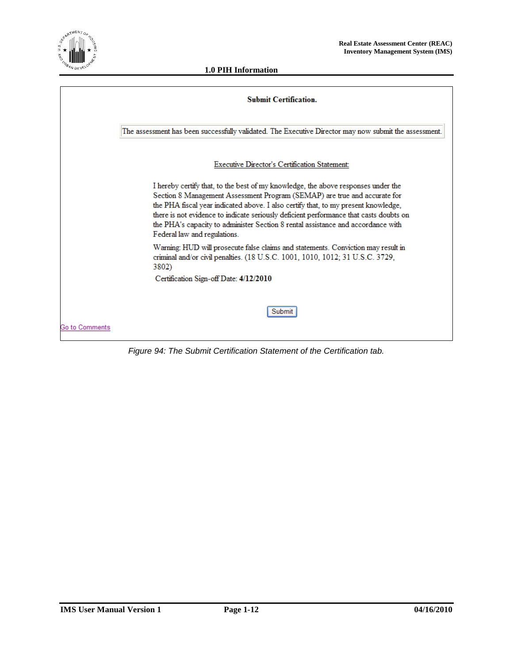

|                | <b>Submit Certification.</b>                                                                                                                                                                                                                                                                                                                                                                                                                                       |
|----------------|--------------------------------------------------------------------------------------------------------------------------------------------------------------------------------------------------------------------------------------------------------------------------------------------------------------------------------------------------------------------------------------------------------------------------------------------------------------------|
|                | The assessment has been successfully validated. The Executive Director may now submit the assessment.                                                                                                                                                                                                                                                                                                                                                              |
|                | Executive Director's Certification Statement:                                                                                                                                                                                                                                                                                                                                                                                                                      |
|                | I hereby certify that, to the best of my knowledge, the above responses under the<br>Section 8 Management Assessment Program (SEMAP) are true and accurate for<br>the PHA fiscal year indicated above. I also certify that, to my present knowledge,<br>there is not evidence to indicate seriously deficient performance that casts doubts on<br>the PHA's capacity to administer Section 8 rental assistance and accordance with<br>Federal law and regulations. |
|                | Warning: HUD will prosecute false claims and statements. Conviction may result in<br>criminal and/or civil penalties. (18 U.S.C. 1001, 1010, 1012; 31 U.S.C. 3729,<br>3802)                                                                                                                                                                                                                                                                                        |
|                | Certification Sign-off Date: 4/12/2010                                                                                                                                                                                                                                                                                                                                                                                                                             |
|                | Submit                                                                                                                                                                                                                                                                                                                                                                                                                                                             |
| Go to Comments |                                                                                                                                                                                                                                                                                                                                                                                                                                                                    |

*Figure 94: The Submit Certification Statement of the Certification tab.*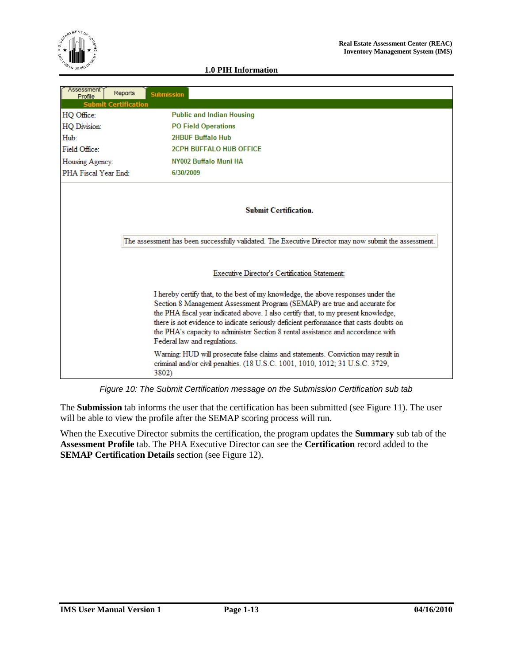

| <b>Assessment</b><br>Profile | Reports | <b>Submission</b> |                                                                                                                                                                                                                                                                                                                                                                                                                                                                    |
|------------------------------|---------|-------------------|--------------------------------------------------------------------------------------------------------------------------------------------------------------------------------------------------------------------------------------------------------------------------------------------------------------------------------------------------------------------------------------------------------------------------------------------------------------------|
| <b>Submit Certification</b>  |         |                   |                                                                                                                                                                                                                                                                                                                                                                                                                                                                    |
| HQ Office:                   |         |                   | <b>Public and Indian Housing</b>                                                                                                                                                                                                                                                                                                                                                                                                                                   |
| HQ Division:                 |         |                   | <b>PO Field Operations</b>                                                                                                                                                                                                                                                                                                                                                                                                                                         |
| Hub:                         |         |                   | <b>2HBUF Buffalo Hub</b>                                                                                                                                                                                                                                                                                                                                                                                                                                           |
| Field Office:                |         |                   | <b>2CPH BUFFALO HUB OFFICE</b>                                                                                                                                                                                                                                                                                                                                                                                                                                     |
| Housing Agency:              |         |                   | NY002 Buffalo Muni HA                                                                                                                                                                                                                                                                                                                                                                                                                                              |
| PHA Fiscal Year End:         |         | 6/30/2009         |                                                                                                                                                                                                                                                                                                                                                                                                                                                                    |
|                              |         |                   | <b>Submit Certification.</b>                                                                                                                                                                                                                                                                                                                                                                                                                                       |
|                              |         |                   | The assessment has been successfully validated. The Executive Director may now submit the assessment.                                                                                                                                                                                                                                                                                                                                                              |
|                              |         |                   | Executive Director's Certification Statement:                                                                                                                                                                                                                                                                                                                                                                                                                      |
|                              |         |                   | I hereby certify that, to the best of my knowledge, the above responses under the<br>Section 8 Management Assessment Program (SEMAP) are true and accurate for<br>the PHA fiscal year indicated above. I also certify that, to my present knowledge,<br>there is not evidence to indicate seriously deficient performance that casts doubts on<br>the PHA's capacity to administer Section 8 rental assistance and accordance with<br>Federal law and regulations. |
|                              |         | 3802)             | Warning: HUD will prosecute false claims and statements. Conviction may result in<br>criminal and/or civil penalties. (18 U.S.C. 1001, 1010, 1012; 31 U.S.C. 3729,                                                                                                                                                                                                                                                                                                 |

*Figure 10: The Submit Certification message on the Submission Certification sub tab*

<span id="page-15-0"></span>The **Submission** tab informs the user that the certification has been submitted (see [Figure 11\)](#page-16-1). The user will be able to view the profile after the SEMAP scoring process will run.

When the Executive Director submits the certification, the program updates the **Summary** sub tab of the **Assessment Profile** tab. The PHA Executive Director can see the **Certification** record added to the **SEMAP Certification Details** section (see [Figure 12\)](#page-16-2).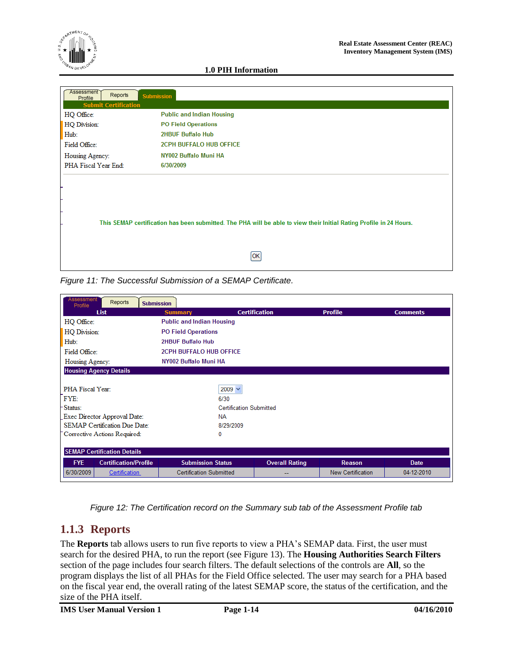

| Assessment<br>Reports<br>Profile<br><b>Submit Certification</b> | <b>Submission</b>                                                                                                   |
|-----------------------------------------------------------------|---------------------------------------------------------------------------------------------------------------------|
| HQ Office:                                                      | <b>Public and Indian Housing</b>                                                                                    |
| HQ Division:                                                    | <b>PO Field Operations</b>                                                                                          |
| Hub:                                                            | <b>2HBUF Buffalo Hub</b>                                                                                            |
| Field Office:                                                   | <b>2CPH BUFFALO HUB OFFICE</b>                                                                                      |
| Housing Agency:                                                 | NY002 Buffalo Muni HA                                                                                               |
| PHA Fiscal Year End:                                            | 6/30/2009                                                                                                           |
|                                                                 |                                                                                                                     |
|                                                                 |                                                                                                                     |
|                                                                 | This SEMAP certification has been submitted. The PHA will be able to view their Initial Rating Profile in 24 Hours. |
|                                                                 | ЮK                                                                                                                  |

<span id="page-16-1"></span>*Figure 11: The Successful Submission of a SEMAP Certificate.*

| Assessment<br>Reports<br>Profile           | <b>Submission</b>                |                                |                          |                 |  |  |
|--------------------------------------------|----------------------------------|--------------------------------|--------------------------|-----------------|--|--|
| List                                       | <b>Summary</b>                   | <b>Certification</b>           | <b>Profile</b>           | <b>Comments</b> |  |  |
| HQ Office:                                 | <b>Public and Indian Housing</b> |                                |                          |                 |  |  |
| HQ Division:                               | <b>PO Field Operations</b>       |                                |                          |                 |  |  |
| Hub:                                       | 2HBUF Buffalo Hub                |                                |                          |                 |  |  |
| Field Office:                              |                                  | <b>2CPH BUFFALO HUB OFFICE</b> |                          |                 |  |  |
| NY002 Buffalo Muni HA<br>Housing Agency:   |                                  |                                |                          |                 |  |  |
| <b>Housing Agency Details</b>              |                                  |                                |                          |                 |  |  |
|                                            |                                  |                                |                          |                 |  |  |
|                                            | PHA Fiscal Year:<br>$2009 \vee$  |                                |                          |                 |  |  |
| FYE:                                       | 6/30                             |                                |                          |                 |  |  |
| Status:                                    | <b>Certification Submitted</b>   |                                |                          |                 |  |  |
| Exec Director Approval Date:               | <b>NA</b>                        |                                |                          |                 |  |  |
| <b>SEMAP Certification Due Date:</b>       |                                  | 8/29/2009                      |                          |                 |  |  |
| Corrective Actions Required:               | 0                                |                                |                          |                 |  |  |
|                                            |                                  |                                |                          |                 |  |  |
| <b>SEMAP Certification Details</b>         |                                  |                                |                          |                 |  |  |
| <b>FYE</b><br><b>Certification/Profile</b> | <b>Submission Status</b>         | <b>Overall Rating</b>          | <b>Reason</b>            | <b>Date</b>     |  |  |
| 6/30/2009<br><b>Certification</b>          | <b>Certification Submitted</b>   | --                             | <b>New Certification</b> | 04-12-2010      |  |  |

*Figure 12: The Certification record on the Summary sub tab of the Assessment Profile tab*

#### <span id="page-16-2"></span><span id="page-16-0"></span>**1.1.3 Reports**

The **Reports** tab allows users to run five reports to view a PHA"s SEMAP data. First, the user must search for the desired PHA, to run the report (see [Figure 13\)](#page-17-0). The **Housing Authorities Search Filters**  section of the page includes four search filters. The default selections of the controls are **All**, so the program displays the list of all PHAs for the Field Office selected. The user may search for a PHA based on the fiscal year end, the overall rating of the latest SEMAP score, the status of the certification, and the size of the PHA itself.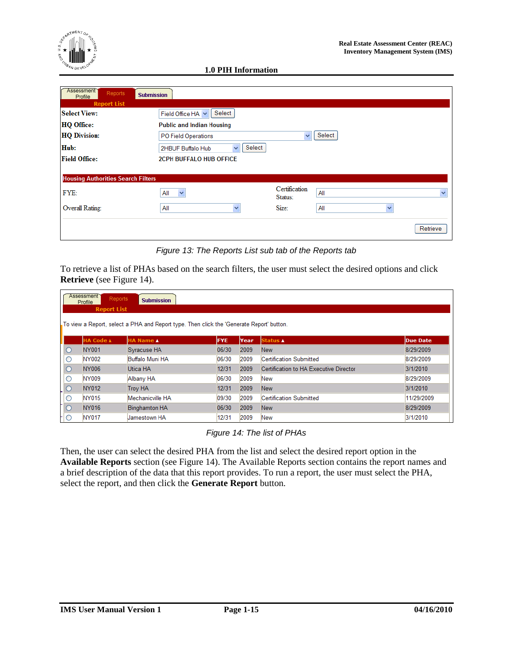

| Assessment<br><b>Reports</b><br>Profile   | <b>Submission</b>                           |                          |                     |              |
|-------------------------------------------|---------------------------------------------|--------------------------|---------------------|--------------|
| <b>Report List</b>                        |                                             |                          |                     |              |
| <b>Select View:</b>                       | Select<br>Field Office HA V                 |                          |                     |              |
| <b>HQ Office:</b>                         | <b>Public and Indian Housing</b>            |                          |                     |              |
| <b>HQ Division:</b>                       | PO Field Operations                         | v                        | Select              |              |
| Hub:                                      | Select<br>$\checkmark$<br>2HBUF Buffalo Hub |                          |                     |              |
| <b>Field Office:</b>                      | <b>2CPH BUFFALO HUB OFFICE</b>              |                          |                     |              |
|                                           |                                             |                          |                     |              |
| <b>Housing Authorities Search Filters</b> |                                             |                          |                     |              |
| FYE:                                      | All<br>$\checkmark$                         | Certification<br>Status: | All                 | $\checkmark$ |
| Overall Rating:                           | All<br>v                                    | Size:                    | All<br>$\checkmark$ |              |
|                                           |                                             |                          |                     | Retrieve     |

*Figure 13: The Reports List sub tab of the Reports tab*

<span id="page-17-0"></span>To retrieve a list of PHAs based on the search filters, the user must select the desired options and click **Retrieve** (see [Figure 14\)](#page-17-1).

|         | Assessment<br><b>Reports</b><br><b>Submission</b><br>Profile<br><b>Report List</b> |                                                                                          |            |      |                                        |                 |  |
|---------|------------------------------------------------------------------------------------|------------------------------------------------------------------------------------------|------------|------|----------------------------------------|-----------------|--|
|         |                                                                                    | To view a Report, select a PHA and Report type. Then click the 'Generate Report' button. |            |      |                                        |                 |  |
|         | <b>HA Code A</b>                                                                   | <b>HA Name A</b>                                                                         | <b>FYE</b> | Year | Status A                               | <b>Due Date</b> |  |
| $\circ$ | NY001                                                                              | Syracuse HA                                                                              | 06/30      | 2009 | <b>New</b>                             | 8/29/2009       |  |
| O       | <b>NY002</b>                                                                       | Buffalo Muni HA                                                                          | 06/30      | 2009 | Certification Submitted                | 8/29/2009       |  |
| $\circ$ | <b>NY006</b>                                                                       | Utica HA                                                                                 | 12/31      | 2009 | Certification to HA Executive Director | 3/1/2010        |  |
| $\circ$ | <b>NY009</b>                                                                       | Albany HA                                                                                | 06/30      | 2009 | New                                    | 8/29/2009       |  |
| $\circ$ | NY012                                                                              | <b>Troy HA</b>                                                                           | 12/31      | 2009 | <b>New</b>                             | 3/1/2010        |  |
| $\circ$ | NY015                                                                              | Mechanicville HA                                                                         | 09/30      | 2009 | <b>Certification Submitted</b>         | 11/29/2009      |  |
| $\circ$ | NY016                                                                              | <b>Binghamton HA</b>                                                                     | 06/30      | 2009 | <b>New</b>                             | 8/29/2009       |  |
| O       | <b>NY017</b>                                                                       | Jamestown HA                                                                             | 12/31      | 2009 | New                                    | 3/1/2010        |  |

*Figure 14: The list of PHAs*

<span id="page-17-1"></span>Then, the user can select the desired PHA from the list and select the desired report option in the **Available Reports** section (see [Figure 14\)](#page-17-1). The Available Reports section contains the report names and a brief description of the data that this report provides. To run a report, the user must select the PHA, select the report, and then click the **Generate Report** button.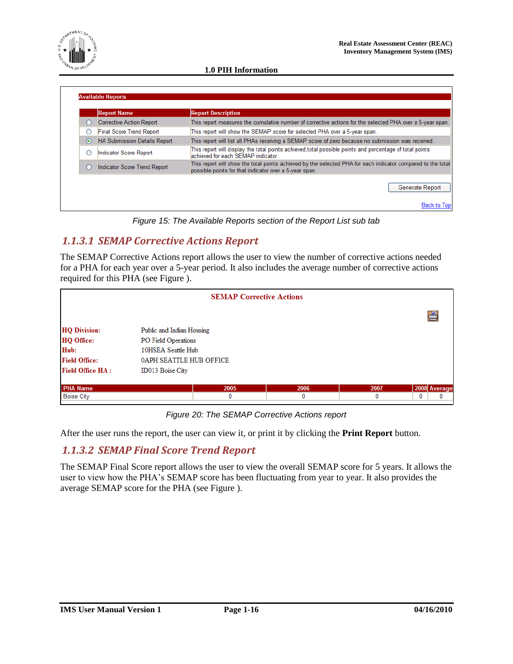

|           | <b>Report Name</b>                  | <b>Report Description</b>                                                                                                                                              |
|-----------|-------------------------------------|------------------------------------------------------------------------------------------------------------------------------------------------------------------------|
| $\bigcap$ | <b>Corrective Action Report</b>     | This report measures the cumulative number of corrective actions for the selected PHA over a 5-year span.                                                              |
| O         | <b>Final Score Trend Report</b>     | This report will show the SEMAP score for selected PHA over a 5-year span.                                                                                             |
| $\odot$   | <b>HA Submission Details Report</b> | This report will list all PHAs receiving a SEMAP score of zero because no submission was received.                                                                     |
| C         | Indicator Score Report              | This report will display the total points achieved,total possible points and percentage of total points<br>achieved for each SEMAP indicator.                          |
| O         | <b>Indicator Score Trend Report</b> | This report will show the total points achieved by the selected PHA for each indicator compared to the total<br>possible points for that indicator over a 5-year span. |

*Figure 15: The Available Reports section of the Report List sub tab*

#### <span id="page-18-0"></span>*1.1.3.1 SEMAP Corrective Actions Report*

The SEMAP Corrective Actions report allows the user to view the number of corrective actions needed for a PHA for each year over a 5-year period. It also includes the average number of corrective actions required for this PHA (see [Figure \)](#page-18-2).

| <b>SEMAP Corrective Actions</b> |                           |      |      |      |              |
|---------------------------------|---------------------------|------|------|------|--------------|
|                                 |                           |      |      |      | ģ            |
| <b>HQ Division:</b>             | Public and Indian Housing |      |      |      |              |
| <b>HQ Office:</b>               | PO Field Operations       |      |      |      |              |
| Hub:                            | 10HSEA Seattle Hub        |      |      |      |              |
| <b>Field Office:</b>            | 0APH SEATTLE HUB OFFICE   |      |      |      |              |
| <b>Field Office HA:</b>         | <b>ID013 Boise City</b>   |      |      |      |              |
| <b>PHA Name</b>                 |                           | 2005 | 2006 | 2007 | 2008 Average |
| <b>Boise City</b>               |                           | 0    | 0    | 0    | 0<br>0       |

*Figure 20: The SEMAP Corrective Actions report*

<span id="page-18-2"></span>After the user runs the report, the user can view it, or print it by clicking the **Print Report** button.

#### <span id="page-18-1"></span>*1.1.3.2 SEMAP Final Score Trend Report*

The SEMAP Final Score report allows the user to view the overall SEMAP score for 5 years. It allows the user to view how the PHA"s SEMAP score has been fluctuating from year to year. It also provides the average SEMAP score for the PHA (see [Figure \)](#page-19-2).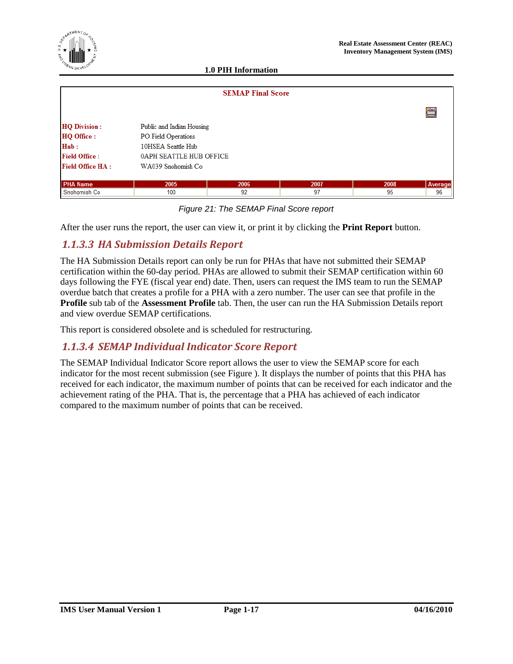95

96

| $e^{\int \frac{\sin(\mathbf{M} \mathbf{E} \mathbf{N}) \mathcal{T} \mathbf{G} \mathbf{F}}{\mathbf{M} \mathbf{E} \mathbf{N} \mathcal{T} \mathbf{G} \mathbf{F}}}$<br>$\star$<br>$\begin{matrix} \mathbf{M}^T & \mathbf{M}^T \end{matrix}$ |                           | <b>1.0 PIH Information</b> |      | <b>Real Estate Assessment Center (REAC)</b><br><b>Inventory Management System (IMS)</b> |         |
|----------------------------------------------------------------------------------------------------------------------------------------------------------------------------------------------------------------------------------------|---------------------------|----------------------------|------|-----------------------------------------------------------------------------------------|---------|
|                                                                                                                                                                                                                                        |                           |                            |      |                                                                                         |         |
|                                                                                                                                                                                                                                        |                           | <b>SEMAP Final Score</b>   |      |                                                                                         |         |
|                                                                                                                                                                                                                                        |                           |                            |      |                                                                                         | 刍       |
| <b>HQ Division:</b>                                                                                                                                                                                                                    | Public and Indian Housing |                            |      |                                                                                         |         |
| <b>HQ Office:</b>                                                                                                                                                                                                                      | PO Field Operations       |                            |      |                                                                                         |         |
| Hub:                                                                                                                                                                                                                                   | 10HSEA Seattle Hub        |                            |      |                                                                                         |         |
| <b>Field Office:</b>                                                                                                                                                                                                                   | 0APH SEATTLE HUB OFFICE   |                            |      |                                                                                         |         |
| <b>Field Office HA:</b>                                                                                                                                                                                                                | WA039 Snohomish Co        |                            |      |                                                                                         |         |
| <b>PHA Name</b>                                                                                                                                                                                                                        | 2005                      | 2006                       | 2007 | 2008                                                                                    | Average |

*Figure 21: The SEMAP Final Score report*

97

After the user runs the report, the user can view it, or print it by clicking the **Print Report** button.

92

#### <span id="page-19-0"></span>*1.1.3.3 HA Submission Details Report*

100

<span id="page-19-2"></span>Snohomish Co

The HA Submission Details report can only be run for PHAs that have not submitted their SEMAP certification within the 60-day period. PHAs are allowed to submit their SEMAP certification within 60 days following the FYE (fiscal year end) date. Then, users can request the IMS team to run the SEMAP overdue batch that creates a profile for a PHA with a zero number. The user can see that profile in the **Profile** sub tab of the **Assessment Profile** tab. Then, the user can run the HA Submission Details report and view overdue SEMAP certifications.

This report is considered obsolete and is scheduled for restructuring.

#### <span id="page-19-1"></span>*1.1.3.4 SEMAP Individual Indicator Score Report*

The SEMAP Individual Indicator Score report allows the user to view the SEMAP score for each indicator for the most recent submission (see [Figure \)](#page-20-1). It displays the number of points that this PHA has received for each indicator, the maximum number of points that can be received for each indicator and the achievement rating of the PHA. That is, the percentage that a PHA has achieved of each indicator compared to the maximum number of points that can be received.